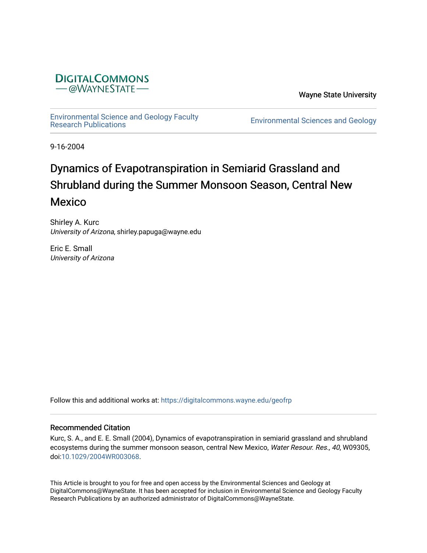

Wayne State University

[Environmental Science and Geology Faculty](https://digitalcommons.wayne.edu/geofrp) 

**Environmental Sciences and Geology** 

9-16-2004

# Dynamics of Evapotranspiration in Semiarid Grassland and Shrubland during the Summer Monsoon Season, Central New Mexico

Shirley A. Kurc University of Arizona, shirley.papuga@wayne.edu

Eric E. Small University of Arizona

Follow this and additional works at: [https://digitalcommons.wayne.edu/geofrp](https://digitalcommons.wayne.edu/geofrp?utm_source=digitalcommons.wayne.edu%2Fgeofrp%2F66&utm_medium=PDF&utm_campaign=PDFCoverPages) 

# Recommended Citation

Kurc, S. A., and E. E. Small (2004), Dynamics of evapotranspiration in semiarid grassland and shrubland ecosystems during the summer monsoon season, central New Mexico, Water Resour. Res., 40, W09305, doi[:10.1029/2004WR003068.](https://doi.org/10.1029/2004WR003068)

This Article is brought to you for free and open access by the Environmental Sciences and Geology at DigitalCommons@WayneState. It has been accepted for inclusion in Environmental Science and Geology Faculty Research Publications by an authorized administrator of DigitalCommons@WayneState.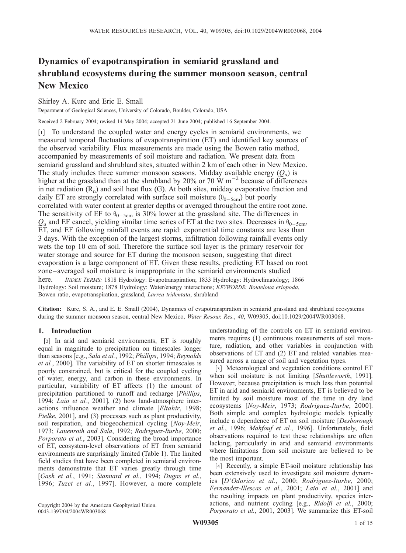# Dynamics of evapotranspiration in semiarid grassland and shrubland ecosystems during the summer monsoon season, central New Mexico

# Shirley A. Kurc and Eric E. Small

Department of Geological Sciences, University of Colorado, Boulder, Colorado, USA

Received 2 February 2004; revised 14 May 2004; accepted 21 June 2004; published 16 September 2004.

[1] To understand the coupled water and energy cycles in semiarid environments, we measured temporal fluctuations of evapotranspiration (ET) and identified key sources of the observed variability. Flux measurements are made using the Bowen ratio method, accompanied by measurements of soil moisture and radiation. We present data from semiarid grassland and shrubland sites, situated within 2 km of each other in New Mexico. The study includes three summer monsoon seasons. Midday available energy  $(O_{\alpha})$  is higher at the grassland than at the shrubland by 20% or 70 W m<sup>-2</sup> because of differences in net radiation  $(R_n)$  and soil heat flux  $(G)$ . At both sites, midday evaporative fraction and daily ET are strongly correlated with surface soil moisture  $(\theta_{0-5cm})$  but poorly correlated with water content at greater depths or averaged throughout the entire root zone. The sensitivity of EF to  $\theta_{0-5cm}$  is 30% lower at the grassland site. The differences in  $Q_a$  and EF cancel, yielding similar time series of ET at the two sites. Decreases in  $\theta_{0-5cm}$ , ET, and EF following rainfall events are rapid: exponential time constants are less than 3 days. With the exception of the largest storms, infiltration following rainfall events only wets the top 10 cm of soil. Therefore the surface soil layer is the primary reservoir for water storage and source for ET during the monsoon season, suggesting that direct evaporation is a large component of ET. Given these results, predicting ET based on root zone–averaged soil moisture is inappropriate in the semiarid environments studied here. INDEX TERMS: 1818 Hydrology: Evapotranspiration; 1833 Hydrology: Hydroclimatology; 1866 Hydrology: Soil moisture; 1878 Hydrology: Water/energy interactions; KEYWORDS: Bouteloua eriopoda, Bowen ratio, evapotranspiration, grassland, Larrea tridentata, shrubland

Citation: Kurc, S. A., and E. E. Small (2004), Dynamics of evapotranspiration in semiarid grassland and shrubland ecosystems during the summer monsoon season, central New Mexico, Water Resour. Res., 40, W09305, doi:10.1029/2004WR003068.

# 1. Introduction

[2] In arid and semiarid environments, ET is roughly equal in magnitude to precipitation on timescales longer than seasons [e.g., Sala et al., 1992; Phillips, 1994; Reynolds et al., 2000]. The variability of ET on shorter timescales is poorly constrained, but is critical for the coupled cycling of water, energy, and carbon in these environments. In particular, variability of ET affects (1) the amount of precipitation partitioned to runoff and recharge [Phillips, 1994; Laio et al., 2001], (2) how land-atmosphere interactions influence weather and climate [Eltahir, 1998; Pielke, 2001], and (3) processes such as plant productivity, soil respiration, and biogeochemical cycling [Noy-Meir, 1973; Lauenroth and Sala, 1992; Rodriguez-Iturbe, 2000; Porporato et al., 2003]. Considering the broad importance of ET, ecosystem-level observations of ET from semiarid environments are surprisingly limited (Table 1). The limited field studies that have been completed in semiarid environments demonstrate that ET varies greatly through time [Gash et al., 1991; Stannard et al., 1994; Dugas et al., 1996; Tuzet et al., 1997]. However, a more complete

understanding of the controls on ET in semiarid environments requires (1) continuous measurements of soil moisture, radiation, and other variables in conjunction with observations of ET and (2) ET and related variables measured across a range of soil and vegetation types.

[3] Meteorological and vegetation conditions control ET when soil moisture is not limiting [Shuttleworth, 1991]. However, because precipitation is much less than potential ET in arid and semiarid environments, ET is believed to be limited by soil moisture most of the time in dry land ecosystems [Noy-Meir, 1973; Rodriguez-Iturbe, 2000]. Both simple and complex hydrologic models typically include a dependence of ET on soil moisture [Desborough et al., 1996; Mahfouf et al., 1996]. Unfortunately, field observations required to test these relationships are often lacking, particularly in arid and semiarid environments where limitations from soil moisture are believed to be the most important.

[4] Recently, a simple ET-soil moisture relationship has been extensively used to investigate soil moisture dynamics [D'Odorico et al., 2000; Rodriguez-Iturbe, 2000; Fernandez-Illescas et al., 2001; Laio et al., 2001] and the resulting impacts on plant productivity, species interactions, and nutrient cycling [e.g., Ridolfi et al., 2000; Porporato et al., 2001, 2003]. We summarize this ET-soil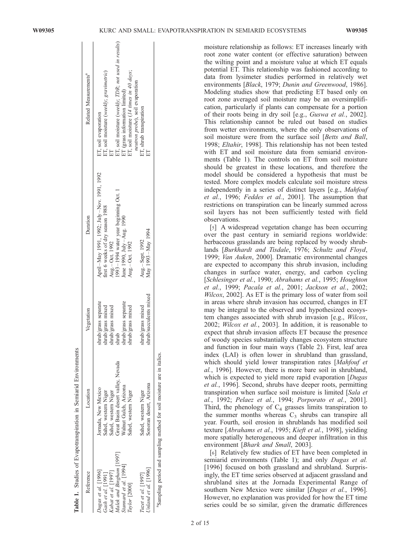|                                                                                                                                                                                          | Table 1. Studies of Evapotranspiration in Semiarid Environments                                                                                                                                              |                                                                                                                                                                     |                                                                                                                                                                                                                                      |                                                                                                                                                                                                                                                                           |
|------------------------------------------------------------------------------------------------------------------------------------------------------------------------------------------|--------------------------------------------------------------------------------------------------------------------------------------------------------------------------------------------------------------|---------------------------------------------------------------------------------------------------------------------------------------------------------------------|--------------------------------------------------------------------------------------------------------------------------------------------------------------------------------------------------------------------------------------|---------------------------------------------------------------------------------------------------------------------------------------------------------------------------------------------------------------------------------------------------------------------------|
| Reference                                                                                                                                                                                | Location                                                                                                                                                                                                     | Vegetation                                                                                                                                                          | Duration                                                                                                                                                                                                                             | Related Measurements <sup>"</sup>                                                                                                                                                                                                                                         |
| Malek and Bingham [1997]<br>Stannard et al. $[1994]$<br>Unland et al. [1996]<br>Kabat et al. [1997]<br>Dugas et al. [1996]<br>Gash et al. [1991]<br>Tuzet et al. [1997]<br>Taylor [2000] | Great Basin desert valley, Nevada<br>Sonoran desert, Arizona<br>Walnut Gulch, Arizona<br>Jornada, New Mexico<br>Sahel, western Niger<br>Sahel, western Niger<br>Sahel, western Niger<br>Sahel, western Niger | shrub/succulents mixed<br>shrub/grass separate<br>shrub/grass separate<br>shrub/grass mixed<br>shrub/grass mixed<br>shrub/grass mixed<br>shrub/grass mixed<br>shrub | April – May 1991, 1992; July – Nov. 1991, 1992<br>1993-1994 water year beginning Oct. 1<br>first 6 weeks of dry season 1988<br>June 1990, July-Aug. 1990<br>Aug.-Sept. 1992<br>May 1993–May 1994<br>Aug.-Oct. 1992<br>Aug.-Oct. 1992 | ET, soil moisture (weekly; TDR; not used in results)<br>ET, soil moisture (weekly; gravimetric)<br>FT<br>ET, soil moisture (14 times in 40 days;<br>neutron probe), soil evaporation<br>ET (grass information limited)<br>ET, shrub transpiration<br>ET, soil evaporation |
|                                                                                                                                                                                          | asompling pariod and compling mothod for coil mojeture are in italize                                                                                                                                        |                                                                                                                                                                     |                                                                                                                                                                                                                                      |                                                                                                                                                                                                                                                                           |

aSampling period and sampling method for soil moisture are in italics. ₹

moisture relationship as follows: ET increases linearly with root zone water content (or effective saturation) between the wilting point and a moisture value at which ET equals potential ET. This relationship was fashioned according to data from lysimeter studies performed in relatively wet environments [Black, 1979; Dunin and Greenwood, 1986]. Modeling studies show that predicting ET based only on root zone averaged soil moisture may be an oversimplification, particularly if plants can compensate for a portion of their roots being in dry soil [e.g., Guswa et al., 2002]. This relationship cannot be ruled out based on studies from wetter environments, where the only observations of soil moisture were from the surface soil [Betts and Ball, 1998; Eltahir, 1998]. This relationship has not been tested with ET and soil moisture data from semiarid environments (Table 1). The controls on ET from soil moisture should be greatest in these locations, and therefore the model should be considered a hypothesis that must be tested. More complex models calculate soil moisture stress independently in a series of distinct layers [e.g., Mahfouf et al., 1996; Feddes et al., 2001]. The assumption that restrictions on transpiration can be linearly summed across soil layers has not been sufficiently tested with field observations.

[5] A widespread vegetation change has been occurring over the past century in semiarid regions worldwide: herbaceous grasslands are being replaced by woody shrublands [Burkhardt and Tisdale, 1976; Schultz and Floyd, 1999; Van Auken, 2000]. Dramatic environmental changes are expected to accompany this shrub invasion, including changes in surface water, energy, and carbon cycling [Schlesinger et al., 1990; Abrahams et al., 1995; Houghton et al., 1999; Pacala et al., 2001; Jackson et al., 2002; Wilcox, 2002]. As ET is the primary loss of water from soil in areas where shrub invasion has occurred, changes in ET may be integral to the observed and hypothesized ecosystem changes associated with shrub invasion [e.g., Wilcox, 2002; Wilcox et al., 2003]. In addition, it is reasonable to expect that shrub invasion affects ET because the presence of woody species substantially changes ecosystem structure and function in four main ways (Table 2). First, leaf area index (LAI) is often lower in shrubland than grassland, which should yield lower transpiration rates [Mahfouf et al., 1996]. However, there is more bare soil in shrubland, which is expected to yield more rapid evaporation [Dugas] et al., 1996]. Second, shrubs have deeper roots, permitting transpiration when surface soil moisture is limited [Sala et al., 1992; Pelaez et al., 1994; Porporato et al., 2001]. Third, the phenology of  $C_4$  grasses limits transpiration to the summer months whereas  $C_3$  shrubs can transpire all year. Fourth, soil erosion in shrublands has modified soil texture [Abrahams et al., 1995; Kieft et al., 1998], yielding more spatially heterogeneous and deeper infiltration in this environment [Bhark and Small, 2003].

[6] Relatively few studies of ET have been completed in semiarid environments (Table 1); and only Dugas et al. [1996] focused on both grassland and shrubland. Surprisingly, the ET time series observed at adjacent grassland and shrubland sites at the Jornada Experimental Range of southern New Mexico were similar [*Dugas et al.*, 1996]. However, no explanation was provided for how the ET time series could be so similar, given the dramatic differences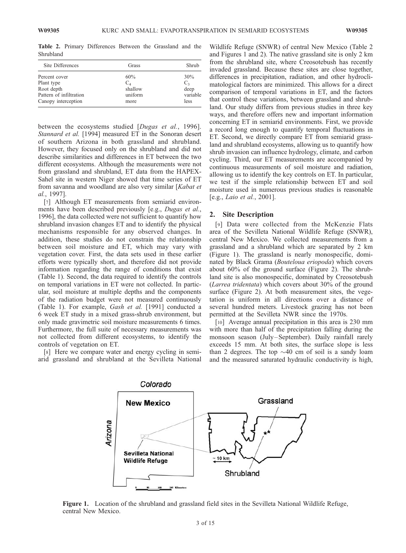Table 2. Primary Differences Between the Grassland and the Shrubland

| Site Differences        | Grass   | Shrub    |
|-------------------------|---------|----------|
| Percent cover           | 60%     | 30%      |
| Plant type              | $C_4$   | $C_3$    |
| Root depth              | shallow | deep     |
| Pattern of infiltration | uniform | variable |
| Canopy interception     | more    | less     |

between the ecosystems studied [*Dugas et al.*, 1996]. Stannard et al. [1994] measured ET in the Sonoran desert of southern Arizona in both grassland and shrubland. However, they focused only on the shrubland and did not describe similarities and differences in ET between the two different ecosystems. Although the measurements were not from grassland and shrubland, ET data from the HAPEX-Sahel site in western Niger showed that time series of ET from savanna and woodland are also very similar [Kabat et al., 1997].

[7] Although ET measurements from semiarid environments have been described previously [e.g., *Dugas et al.*, 1996], the data collected were not sufficient to quantify how shrubland invasion changes ET and to identify the physical mechanisms responsible for any observed changes. In addition, these studies do not constrain the relationship between soil moisture and ET, which may vary with vegetation cover. First, the data sets used in these earlier efforts were typically short, and therefore did not provide information regarding the range of conditions that exist (Table 1). Second, the data required to identify the controls on temporal variations in ET were not collected. In particular, soil moisture at multiple depths and the components of the radiation budget were not measured continuously (Table 1). For example, Gash et al. [1991] conducted a 6 week ET study in a mixed grass-shrub environment, but only made gravimetric soil moisture measurements 6 times. Furthermore, the full suite of necessary measurements was not collected from different ecosystems, to identify the controls of vegetation on ET.

[8] Here we compare water and energy cycling in semiarid grassland and shrubland at the Sevilleta National Wildlife Refuge (SNWR) of central New Mexico (Table 2 and Figures 1 and 2). The native grassland site is only 2 km from the shrubland site, where Creosotebush has recently invaded grassland. Because these sites are close together, differences in precipitation, radiation, and other hydroclimatological factors are minimized. This allows for a direct comparison of temporal variations in ET, and the factors that control these variations, between grassland and shrubland. Our study differs from previous studies in three key ways, and therefore offers new and important information concerning ET in semiarid environments. First, we provide a record long enough to quantify temporal fluctuations in ET. Second, we directly compare ET from semiarid grassland and shrubland ecosystems, allowing us to quantify how shrub invasion can influence hydrology, climate, and carbon cycling. Third, our ET measurements are accompanied by continuous measurements of soil moisture and radiation, allowing us to identify the key controls on ET. In particular, we test if the simple relationship between ET and soil moisture used in numerous previous studies is reasonable [e.g., Laio et al., 2001].

#### 2. Site Description

[9] Data were collected from the McKenzie Flats area of the Sevilleta National Wildlife Refuge (SNWR), central New Mexico. We collected measurements from a grassland and a shrubland which are separated by 2 km (Figure 1). The grassland is nearly monospecific, dominated by Black Grama (Bouteloua eriopoda) which covers about 60% of the ground surface (Figure 2). The shrubland site is also monospecific, dominated by Creosotebush (Larrea tridentata) which covers about 30% of the ground surface (Figure 2). At both measurement sites, the vegetation is uniform in all directions over a distance of several hundred meters. Livestock grazing has not been permitted at the Sevilleta NWR since the 1970s.

[10] Average annual precipitation in this area is 230 mm with more than half of the precipitation falling during the monsoon season (July-September). Daily rainfall rarely exceeds 15 mm. At both sites, the surface slope is less than 2 degrees. The top  $\sim$  40 cm of soil is a sandy loam and the measured saturated hydraulic conductivity is high,



Figure 1. Location of the shrubland and grassland field sites in the Sevilleta National Wildlife Refuge, central New Mexico.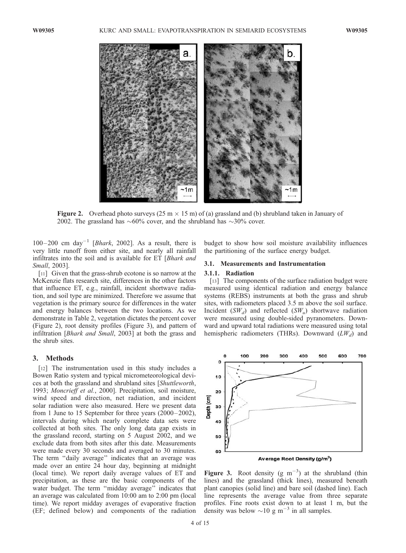

**Figure 2.** Overhead photo surveys (25 m  $\times$  15 m) of (a) grassland and (b) shrubland taken in January of 2002. The grassland has  $\sim 60\%$  cover, and the shrubland has  $\sim 30\%$  cover.

 $100-200$  cm day<sup>-1</sup> [*Bhark*, 2002]. As a result, there is very little runoff from either site, and nearly all rainfall infiltrates into the soil and is available for ET [Bhark and Small, 2003].

[11] Given that the grass-shrub ecotone is so narrow at the McKenzie flats research site, differences in the other factors that influence ET, e.g., rainfall, incident shortwave radiation, and soil type are minimized. Therefore we assume that vegetation is the primary source for differences in the water and energy balances between the two locations. As we demonstrate in Table 2, vegetation dictates the percent cover (Figure 2), root density profiles (Figure 3), and pattern of infiltration [Bhark and Small, 2003] at both the grass and the shrub sites.

#### 3. Methods

[12] The instrumentation used in this study includes a Bowen Ratio system and typical micrometeorological devices at both the grassland and shrubland sites [Shuttleworth, 1993; Moncrieff et al., 2000]. Precipitation, soil moisture, wind speed and direction, net radiation, and incident solar radiation were also measured. Here we present data from 1 June to 15 September for three years (2000–2002), intervals during which nearly complete data sets were collected at both sites. The only long data gap exists in the grassland record, starting on 5 August 2002, and we exclude data from both sites after this date. Measurements were made every 30 seconds and averaged to 30 minutes. The term "daily average" indicates that an average was made over an entire 24 hour day, beginning at midnight (local time). We report daily average values of ET and precipitation, as these are the basic components of the water budget. The term "midday average" indicates that an average was calculated from 10:00 am to 2:00 pm (local time). We report midday averages of evaporative fraction (EF; defined below) and components of the radiation budget to show how soil moisture availability influences the partitioning of the surface energy budget.

# 3.1. Measurements and Instrumentation

#### 3.1.1. Radiation

[13] The components of the surface radiation budget were measured using identical radiation and energy balance systems (REBS) instruments at both the grass and shrub sites, with radiometers placed 3.5 m above the soil surface. Incident  $(SW_d)$  and reflected  $(SW_u)$  shortwave radiation were measured using double-sided pyranometers. Downward and upward total radiations were measured using total hemispheric radiometers (THRs). Downward  $(LW_d)$  and



Figure 3. Root density  $(g \text{ m}^{-3})$  at the shrubland (thin lines) and the grassland (thick lines), measured beneath plant canopies (solid line) and bare soil (dashed line). Each

line represents the average value from three separate profiles. Fine roots exist down to at least 1 m, but the

density was below  $\sim 10$  g m<sup>-3</sup> in all samples.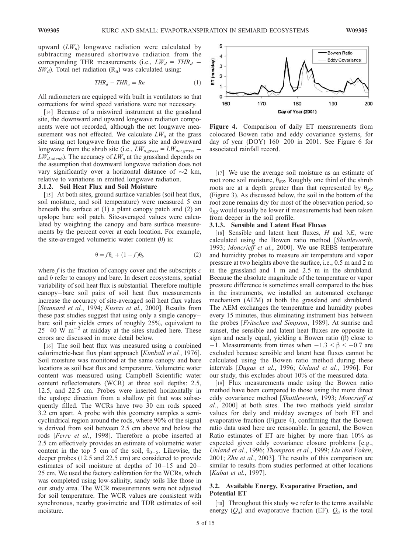upward  $(LW_u)$  longwave radiation were calculated by subtracting measured shortwave radiation from the corresponding THR measurements (i.e.,  $LW_d = THR_d$  –  $SW_d$ ). Total net radiation (R<sub>n</sub>) was calculated using:

$$
THR_d - THR_u = Rn \tag{1}
$$

All radiometers are equipped with built in ventilators so that corrections for wind speed variations were not necessary.

[14] Because of a miswired instrument at the grassland site, the downward and upward longwave radiation components were not recorded, although the net longwave measurement was not effected. We calculate  $LW_u$  at the grass site using net longwave from the grass site and downward longwave from the shrub site (i.e.,  $LW_{u,grass} = LW_{net,grass}$  $LW_{d,shrub}$ ). The accuracy of  $LW_u$  at the grassland depends on the assumption that downward longwave radiation does not vary significantly over a horizontal distance of  $\sim$ 2 km, relative to variations in emitted longwave radiation.

#### 3.1.2. Soil Heat Flux and Soil Moisture

[15] At both sites, ground surface variables (soil heat flux, soil moisture, and soil temperature) were measured 5 cm beneath the surface at (1) a plant canopy patch and (2) an upslope bare soil patch. Site-averaged values were calculated by weighting the canopy and bare surface measurements by the percent cover at each location. For example, the site-averaged volumetric water content  $(\theta)$  is:

$$
\theta = f\theta_c + (1 - f)\theta_b \tag{2}
$$

where  $f$  is the fraction of canopy cover and the subscripts  $c$ and *b* refer to canopy and bare. In desert ecosystems, spatial variability of soil heat flux is substantial. Therefore multiple canopy – bare soil pairs of soil heat flux measurements increase the accuracy of site-averaged soil heat flux values [Stannard et al., 1994; Kustas et al., 2000]. Results from these past studies suggest that using only a single canopy – bare soil pair yields errors of roughly 25%, equivalent to  $25-40$  W m<sup>-2</sup> at midday at the sites studied here. These errors are discussed in more detail below.

[16] The soil heat flux was measured using a combined calorimetric-heat flux plant approach [Kimball et al., 1976]. Soil moisture was monitored at the same canopy and bare locations as soil heat flux and temperature. Volumetric water content was measured using Campbell Scientific water content reflectometers (WCR) at three soil depths: 2.5, 12.5, and 22.5 cm. Probes were inserted horizontally in the upslope direction from a shallow pit that was subsequently filled. The WCRs have two 30 cm rods spaced 3.2 cm apart. A probe with this geometry samples a semicyclindrical region around the rods, where 90% of the signal is derived from soil between 2.5 cm above and below the rods [Ferre et al., 1998]. Therefore a probe inserted at 2.5 cm effectively provides an estimate of volumetric water content in the top 5 cm of the soil,  $\theta_{0-5}$ . Likewise, the deeper probes (12.5 and 22.5 cm) are considered to provide estimates of soil moisture at depths of  $10-15$  and  $20-$ 25 cm. We used the factory calibration for the WCRs, which was completed using low-salinity, sandy soils like those in our study area. The WCR measurements were not adjusted for soil temperature. The WCR values are consistent with synchronous, nearby gravimetric and TDR estimates of soil moisture.



Figure 4. Comparison of daily ET measurements from colocated Bowen ratio and eddy covariance systems, for day of year (DOY)  $160-200$  in 2001. See Figure 6 for associated rainfall record.

[17] We use the average soil moisture as an estimate of root zone soil moisture,  $\theta_{RZ}$ . Roughly one third of the shrub roots are at a depth greater than that represented by  $\theta_{RZ}$ (Figure 3). As discussed below, the soil in the bottom of the root zone remains dry for most of the observation period, so  $\theta_{RZ}$  would usually be lower if measurements had been taken from deeper in the soil profile.

#### 3.1.3. Sensible and Latent Heat Fluxes

[18] Sensible and latent heat fluxes, H and  $\lambda E$ , were calculated using the Bowen ratio method [Shuttleworth, 1993; Moncrieff et al., 2000]. We use REBS temperature and humidity probes to measure air temperature and vapor pressure at two heights above the surface, i.e., 0.5 m and 2 m in the grassland and 1 m and 2.5 m in the shrubland. Because the absolute magnitude of the temperature or vapor pressure difference is sometimes small compared to the bias in the instruments, we installed an automated exchange mechanism (AEM) at both the grassland and shrubland. The AEM exchanges the temperature and humidity probes every 15 minutes, thus eliminating instrument bias between the probes [Fritschen and Simpson, 1989]. At sunrise and sunset, the sensible and latent heat fluxes are opposite in sign and nearly equal, yielding a Bowen ratio  $(\beta)$  close to  $-1$ . Measurements from times when  $-1.3 < \beta < -0.7$  are excluded because sensible and latent heat fluxes cannot be calculated using the Bowen ratio method during these intervals [Dugas et al., 1996; Unland et al., 1996]. For our study, this excludes about 10% of the measured data.

[19] Flux measurements made using the Bowen ratio method have been compared to those using the more direct eddy covariance method [Shuttleworth, 1993; Moncrieff et al., 2000] at both sites. The two methods yield similar values for daily and midday averages of both ET and evaporative fraction (Figure 4), confirming that the Bowen ratio data used here are reasonable. In general, the Bowen Ratio estimates of ET are higher by more than 10% as expected given eddy covariance closure problems [e.g., Unland et al., 1996; Thompson et al., 1999; Liu and Foken, 2001; Zhu et al., 2003]. The results of this comparison are similar to results from studies performed at other locations [Kabat et al., 1997].

#### 3.2. Available Energy, Evaporative Fraction, and Potential ET

[20] Throughout this study we refer to the terms available energy  $(Q_a)$  and evaporative fraction (EF).  $Q_a$  is the total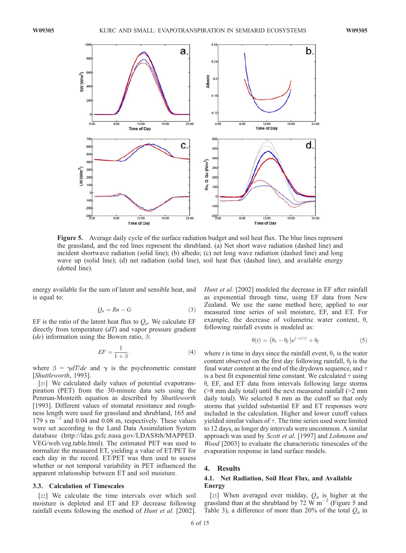

Figure 5. Average daily cycle of the surface radiation budget and soil heat flux. The blue lines represent the grassland, and the red lines represent the shrubland. (a) Net short wave radiation (dashed line) and incident shortwave radiation (solid line); (b) albedo; (c) net long wave radiation (dashed line) and long wave up (solid line); (d) net radiation (solid line), soil heat flux (dashed line), and available energy (dotted line).

energy available for the sum of latent and sensible heat, and is equal to:

$$
Q_a = Rn - G \tag{3}
$$

EF is the ratio of the latent heat flux to  $Q_a$ . We calculate EF directly from temperature  $(dT)$  and vapor pressure gradient (*de*) information using the Bowen ratio,  $\beta$ :

$$
EF = \frac{1}{1+\beta}.\tag{4}
$$

where  $\beta = \gamma dT/de$  and  $\gamma$  is the psychrometric constant [Shuttleworth, 1993].

[21] We calculated daily values of potential evapotranspiration (PET) from the 30-minute data sets using the Penman-Monteith equation as described by Shuttleworth [1993]. Different values of stomatal resistance and roughness length were used for grassland and shrubland, 165 and  $179$  s m<sup>-1</sup> and 0.04 and 0.08 m, respectively. These values were set according to the Land Data Assimilation System database (http://ldas.gsfc.nasa.gov/LDAS8th/MAPPED. VEG/web.veg.table.html). The estimated PET was used to normalize the measured ET, yielding a value of ET/PET for each day in the record. ET/PET was then used to assess whether or not temporal variability in PET influenced the apparent relationship between ET and soil moisture.

#### 3.3. Calculation of Timescales

[22] We calculate the time intervals over which soil moisture is depleted and ET and EF decrease following rainfall events following the method of Hunt et al. [2002].

Hunt et al. [2002] modeled the decrease in EF after rainfall as exponential through time, using EF data from New Zealand. We use the same method here, applied to our measured time series of soil moisture, EF, and ET. For example, the decrease of volumetric water content,  $\theta$ , following rainfall events is modeled as:

$$
\theta(t) = (\theta_1 - \theta_f)e^{(-t/\tau)} + \theta_f \tag{5}
$$

where t is time in days since the rainfall event,  $\theta_1$  is the water content observed on the first day following rainfall,  $\theta_f$  is the final water content at the end of the drydown sequence, and  $\tau$ is a best fit exponential time constant. We calculated  $\tau$  using  $\theta$ , EF, and ET data from intervals following large storms (>8 mm daily total) until the next measured rainfall (>2 mm daily total). We selected 8 mm as the cutoff so that only storms that yielded substantial EF and ET responses were included in the calculation. Higher and lower cutoff values yielded similar values of  $\tau$ . The time series used were limited to 12 days, as longer dry intervals were uncommon. A similar approach was used by Scott et al. [1997] and Lohmann and *Wood* [2003] to evaluate the characteristic timescales of the evaporation response in land surface models.

#### 4. Results

# 4.1. Net Radiation, Soil Heat Flux, and Available Energy

[23] When averaged over midday,  $Q_a$  is higher at the grassland than at the shrubland by 72 W  $\mathrm{m}^{-2}$  (Figure 5 and Table 3), a difference of more than 20% of the total  $Q_a$  in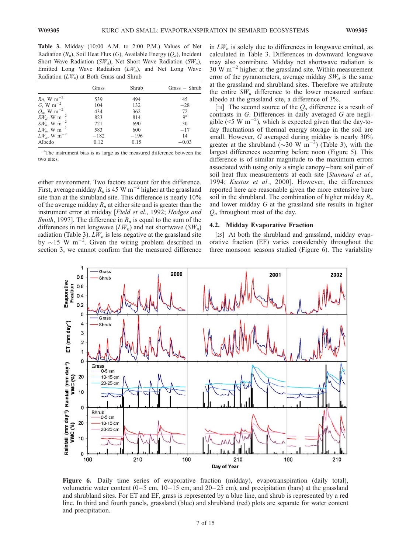Table 3. Midday (10:00 A.M. to 2:00 P.M.) Values of Net Radiation  $(R_n)$ , Soil Heat Flux  $(G)$ , Available Energy  $(Q_a)$ , Incident Short Wave Radiation (SW<sub>d</sub>), Net Short Wave Radiation (SW<sub>n</sub>), Emitted Long Wave Radiation  $(LW_u)$ , and Net Long Wave Radiation  $(LW_n)$  at Both Grass and Shrub

|                            | Grass  | Shrub  | $Grass - Shrub$ |  |  |
|----------------------------|--------|--------|-----------------|--|--|
| $Rn$ , W m <sup>-2</sup>   | 539    | 494    | 45              |  |  |
| $G, W \text{ m}^{-2}$      | 104    | 132    | $-28$           |  |  |
| $Q_a$ , W m <sup>-2</sup>  | 434    | 362    | 72              |  |  |
| $SW_d$ , W m <sup>-2</sup> | 823    | 814    | 9 <sup>a</sup>  |  |  |
| $SW_n$ , W m <sup>-2</sup> | 721    | 690    | 30              |  |  |
| $LW_u$ , W m <sup>-2</sup> | 583    | 600    | $-17$           |  |  |
| $LW_n$ , W m <sup>-2</sup> | $-182$ | $-196$ | 14              |  |  |
| Albedo                     | 0.12   | 0.15   | $-0.03$         |  |  |

<sup>a</sup>The instrument bias is as large as the measured difference between the two sites.

either environment. Two factors account for this difference. First, average midday  $R_n$  is 45 W m<sup>-2</sup> higher at the grassland site than at the shrubland site. This difference is nearly 10% of the average midday  $R_n$  at either site and is greater than the instrument error at midday [Field et al., 1992; Hodges and Smith, 1997]. The difference in  $R_n$  is equal to the sum of the differences in net longwave  $(LW_n)$  and net shortwave  $(SW_n)$ radiation (Table 3).  $LW_n$  is less negative at the grassland site by  $\sim$ 15 W m<sup>-2</sup>. Given the wiring problem described in section 3, we cannot confirm that the measured difference in  $LW_n$  is solely due to differences in longwave emitted, as calculated in Table 3. Differences in downward longwave may also contribute. Midday net shortwave radiation is  $30 \text{ W m}^{-2}$  higher at the grassland site. Within measurement error of the pyranometers, average midday  $SW_d$  is the same at the grassland and shrubland sites. Therefore we attribute the entire  $SW_n$  difference to the lower measured surface albedo at the grassland site, a difference of 3%.

[24] The second source of the  $Q_a$  difference is a result of contrasts in G. Differences in daily averaged G are negligible ( $\leq$ 5 W m<sup>-2</sup>), which is expected given that the day-today fluctuations of thermal energy storage in the soil are small. However, G averaged during midday is nearly 30% greater at the shrubland  $(\sim 30 \text{ W m}^{-2})$  (Table 3), with the largest differences occurring before noon (Figure 5). This difference is of similar magnitude to the maximum errors associated with using only a single canopy – bare soil pair of soil heat flux measurements at each site [Stannard et al., 1994; Kustas et al., 2000]. However, the differences reported here are reasonable given the more extensive bare soil in the shrubland. The combination of higher midday  $R_n$ and lower midday G at the grassland site results in higher  $Q_a$  throughout most of the day.

### 4.2. Midday Evaporative Fraction

[25] At both the shrubland and grassland, midday evaporative fraction (EF) varies considerably throughout the three monsoon seasons studied (Figure 6). The variability



Figure 6. Daily time series of evaporative fraction (midday), evapotranspiration (daily total), volumetric water content  $(0-5 \text{ cm}, 10-15 \text{ cm}, \text{ and } 20-25 \text{ cm})$ , and precipitation (bars) at the grassland and shrubland sites. For ET and EF, grass is represented by a blue line, and shrub is represented by a red line. In third and fourth panels, grassland (blue) and shrubland (red) plots are separate for water content and precipitation.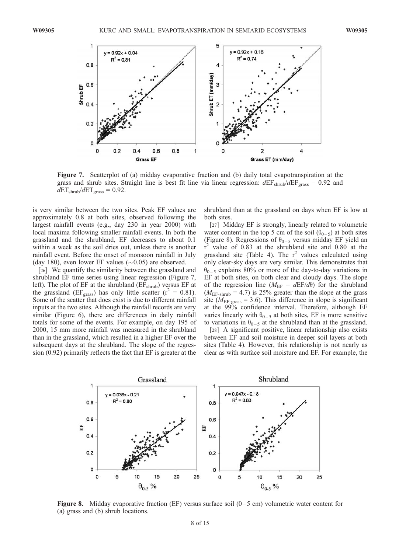

Figure 7. Scatterplot of (a) midday evaporative fraction and (b) daily total evapotranspiration at the grass and shrub sites. Straight line is best fit line via linear regression:  $dEF_{shrub}/dEF_{grass} = 0.92$  and  $dET_{\text{shrub}}/dET_{\text{grass}} = 0.92.$ 

is very similar between the two sites. Peak EF values are approximately 0.8 at both sites, observed following the largest rainfall events (e.g., day 230 in year 2000) with local maxima following smaller rainfall events. In both the grassland and the shrubland, EF decreases to about 0.1 within a week as the soil dries out, unless there is another rainfall event. Before the onset of monsoon rainfall in July (day 180), even lower EF values  $(\sim 0.05)$  are observed.

[26] We quantify the similarity between the grassland and shrubland EF time series using linear regression (Figure 7, left). The plot of EF at the shrubland ( $EF<sub>shrub</sub>$ ) versus EF at the grassland (EF<sub>grass</sub>) has only little scatter ( $r^2 = 0.81$ ). Some of the scatter that does exist is due to different rainfall inputs at the two sites. Although the rainfall records are very similar (Figure 6), there are differences in daily rainfall totals for some of the events. For example, on day 195 of 2000, 15 mm more rainfall was measured in the shrubland than in the grassland, which resulted in a higher EF over the subsequent days at the shrubland. The slope of the regression (0.92) primarily reflects the fact that EF is greater at the

shrubland than at the grassland on days when EF is low at both sites.

[27] Midday EF is strongly, linearly related to volumetric water content in the top 5 cm of the soil  $(\theta_{0-5})$  at both sites (Figure 8). Regressions of  $\theta_{0-5}$  versus midday EF yield an  $r^2$ value of 0.83 at the shrubland site and 0.80 at the grassland site (Table 4). The  $r^2$  values calculated using only clear-sky days are very similar. This demonstrates that  $\theta_{0-5}$  explains 80% or more of the day-to-day variations in EF at both sites, on both clear and cloudy days. The slope of the regression line ( $M_{\text{EF}} = d\text{EF}/d\theta$ ) for the shrubland  $(M<sub>EF-shrub</sub> = 4.7)$  is 25% greater than the slope at the grass site ( $M_{\text{EF-grass}}$  = 3.6). This difference in slope is significant at the 99% confidence interval. Therefore, although EF varies linearly with  $\theta_{0-5}$  at both sites, EF is more sensitive to variations in  $\theta_{0-5}$  at the shrubland than at the grassland.

[28] A significant positive, linear relationship also exists between EF and soil moisture in deeper soil layers at both sites (Table 4). However, this relationship is not nearly as clear as with surface soil moisture and EF. For example, the



**Figure 8.** Midday evaporative fraction (EF) versus surface soil  $(0-5 \text{ cm})$  volumetric water content for (a) grass and (b) shrub locations.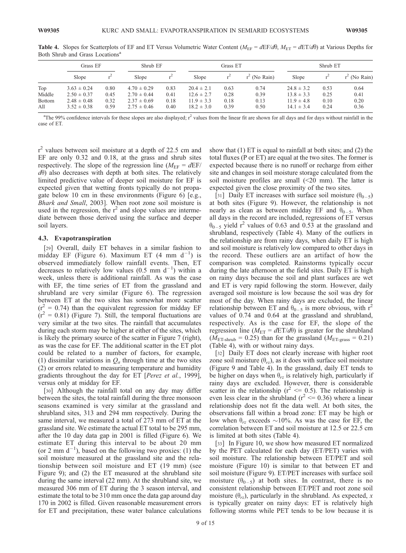|                                | Grass EF                                              |                      | Shrub EF                                              |                      | Grass ET                                           |                      | Shrub ET             |                                                    |                      |                      |
|--------------------------------|-------------------------------------------------------|----------------------|-------------------------------------------------------|----------------------|----------------------------------------------------|----------------------|----------------------|----------------------------------------------------|----------------------|----------------------|
|                                | Slope                                                 |                      | Slope                                                 |                      | Slope                                              |                      | $r^2$ (No Rain)      | Slope                                              |                      | $r^2$ (No Rain)      |
| Top                            | $3.63 \pm 0.24$                                       | 0.80                 | $4.70 \pm 0.29$                                       | 0.83                 | $20.4 \pm 2.1$                                     | 0.63                 | 0.74                 | $24.8 \pm 3.2$                                     | 0.53                 | 0.64                 |
| Middle<br><b>Bottom</b><br>All | $2.50 \pm 0.37$<br>$2.48 \pm 0.48$<br>$3.52 \pm 0.38$ | 0.45<br>0.32<br>0.59 | $2.70 \pm 0.44$<br>$2.37 \pm 0.69$<br>$2.75 \pm 0.46$ | 0.41<br>0.18<br>0.40 | $12.6 \pm 2.7$<br>$11.9 \pm 3.3$<br>$18.2 \pm 3.0$ | 0.28<br>0.18<br>0.39 | 0.39<br>0.13<br>0.50 | $13.8 \pm 3.3$<br>$11.9 \pm 4.8$<br>$14.1 \pm 3.4$ | 0.25<br>0.10<br>0.24 | 0.41<br>0.20<br>0.36 |

Table 4. Slopes for Scatterplots of EF and ET Versus Volumetric Water Content ( $M_{\text{EF}} = dE / d\theta$ ,  $M_{\text{ET}} = dE / d\theta$ ) at Various Depths for Both Shrub and Grass Locations<sup>a</sup>

<sup>a</sup>The 99% confidence intervals for these slopes are also displayed;  $r^2$  values from the linear fit are shown for all days and for days without rainfall in the case of ET.

 $r<sup>2</sup>$  values between soil moisture at a depth of 22.5 cm and EF are only 0.32 and 0.18, at the grass and shrub sites respectively. The slope of the regression line ( $M_{EF} = dEF$ )  $d\theta$ ) also decreases with depth at both sites. The relatively limited predictive value of deeper soil moisture for EF is expected given that wetting fronts typically do not propagate below 10 cm in these environments (Figure 6) [e.g., Bhark and Small, 2003]. When root zone soil moisture is used in the regression, the  $r^2$  and slope values are intermediate between those derived using the surface and deeper soil layers.

#### 4.3. Evapotranspiration

[29] Overall, daily ET behaves in a similar fashion to midday EF (Figure 6). Maximum ET (4 mm  $d^{-1}$ ) is observed immediately follow rainfall events. Then, ET decreases to relatively low values (0.5 mm  $d^{-1}$ ) within a week, unless there is additional rainfall. As was the case with EF, the time series of ET from the grassland and shrubland are very similar (Figure 6). The regression between ET at the two sites has somewhat more scatter  $(r^2 = 0.74)$  than the equivalent regression for midday EF  $(r^2 = 0.81)$  (Figure 7). Still, the temporal fluctuations are very similar at the two sites. The rainfall that accumulates during each storm may be higher at either of the sites, which is likely the primary source of the scatter in Figure 7 (right), as was the case for EF. The additional scatter in the ET plot could be related to a number of factors, for example, (1) dissimilar variations in  $Q_a$  through time at the two sites (2) or errors related to measuring temperature and humidity gradients throughout the day for ET [Perez et al., 1999], versus only at midday for EF.

[30] Although the rainfall total on any day may differ between the sites, the total rainfall during the three monsoon seasons examined is very similar at the grassland and shrubland sites, 313 and 294 mm respectively. During the same interval, we measured a total of 273 mm of ET at the grassland site. We estimate the actual ET total to be 295 mm, after the 10 day data gap in 2001 is filled (Figure 6). We estimate ET during this interval to be about 20 mm (or 2 mm  $d^{-1}$ ), based on the following two proxies: (1) the soil moisture measured at the grassland site and the relationship between soil moisture and ET (19 mm) (see Figure 9); and (2) the ET measured at the shrubland site during the same interval (22 mm). At the shrubland site, we measured 306 mm of ET during the 3 season interval, and estimate the total to be 310 mm once the data gap around day 170 in 2002 is filled. Given reasonable measurement errors for ET and precipitation, these water balance calculations show that (1) ET is equal to rainfall at both sites; and (2) the total fluxes (P or ET) are equal at the two sites. The former is expected because there is no runoff or recharge from either site and changes in soil moisture storage calculated from the soil moisture profiles are small  $(\leq 20 \text{ mm})$ . The latter is expected given the close proximity of the two sites.

[31] Daily ET increases with surface soil moisture  $(\theta_{0-5})$ at both sites (Figure 9). However, the relationship is not nearly as clean as between midday EF and  $\theta_{0-5}$ . When all days in the record are included, regressions of ET versus  $\theta_{0-5}$  yield r<sup>2</sup> values of 0.63 and 0.53 at the grassland and shrubland, respectively (Table 4). Many of the outliers in the relationship are from rainy days, when daily ET is high and soil moisture is relatively low compared to other days in the record. These outliers are an artifact of how the comparison was completed. Rainstorms typically occur during the late afternoon at the field sites. Daily ET is high on rainy days because the soil and plant surfaces are wet and ET is very rapid following the storm. However, daily averaged soil moisture is low because the soil was dry for most of the day. When rainy days are excluded, the linear relationship between ET and  $\theta_{0-5}$  is more obvious, with  $r^2$ values of 0.74 and 0.64 at the grassland and shrubland, respectively. As is the case for EF, the slope of the regression line ( $M_{ET} = dET/d\theta$ ) is greater for the shrubland  $(M_{\text{ET-shrub}} = 0.25)$  than for the grassland  $(M_{\text{ET-grass}} = 0.21)$ (Table 4), with or without rainy days.

[32] Daily ET does not clearly increase with higher root zone soil moisture  $(\theta_{rz})$ , as it does with surface soil moisture (Figure 9 and Table 4). In the grassland, daily ET tends to be higher on days when  $\theta_{rz}$  is relatively high, particularly if rainy days are excluded. However, there is considerable scatter in the relationship ( $r^2 \le 0.5$ ). The relationship is even less clear in the shrubland ( $r^2 \le 0.36$ ) where a linear relationship does not fit the data well. At both sites, the observations fall within a broad zone: ET may be high or low when  $\theta_{rz}$  exceeds  $\sim$ 10%. As was the case for EF, the correlation between ET and soil moisture at 12.5 or 22.5 cm is limited at both sites (Table 4).

[33] In Figure 10, we show how measured ET normalized by the PET calculated for each day (ET/PET) varies with soil moisture. The relationship between ET/PET and soil moisture (Figure 10) is similar to that between ET and soil moisture (Figure 9). ET/PET increases with surface soil moisture  $(\theta_{0-5})$  at both sites. In contrast, there is no consistent relationship between ET/PET and root zone soil moisture  $(\theta_{rz})$ , particularly in the shrubland. As expected, x is typically greater on rainy days: ET is relatively high following storms while PET tends to be low because it is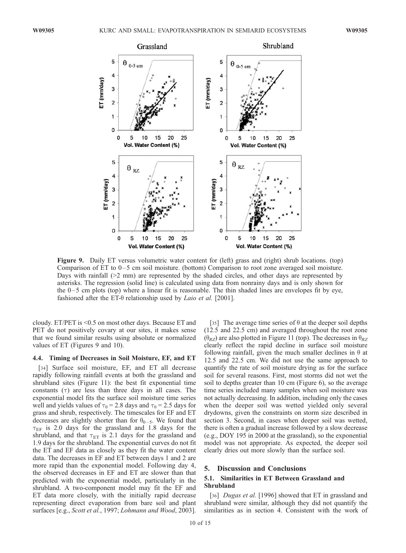

Figure 9. Daily ET versus volumetric water content for (left) grass and (right) shrub locations. (top) Comparison of ET to  $0-5$  cm soil moisture. (bottom) Comparison to root zone averaged soil moisture. Days with rainfall  $(22 \text{ mm})$  are represented by the shaded circles, and other days are represented by asterisks. The regression (solid line) is calculated using data from nonrainy days and is only shown for the  $0 - 5$  cm plots (top) where a linear fit is reasonable. The thin shaded lines are envelopes fit by eye, fashioned after the ET- $\theta$  relationship used by *Laio et al.* [2001].

cloudy. ET/PET is <0.5 on most other days. Because ET and PET do not positively covary at our sites, it makes sense that we found similar results using absolute or normalized values of ET (Figures 9 and 10).

#### 4.4. Timing of Decreases in Soil Moisture, EF, and ET

[34] Surface soil moisture, EF, and ET all decrease rapidly following rainfall events at both the grassland and shrubland sites (Figure 11): the best fit exponential time constants  $(τ)$  are less than three days in all cases. The exponential model fits the surface soil moisture time series well and yields values of  $\tau_{\theta} = 2.8$  days and  $\tau_{\theta} = 2.5$  days for grass and shrub, respectively. The timescales for EF and ET decreases are slightly shorter than for  $\theta_{0-5}$ . We found that  $\tau_{EF}$  is 2.0 days for the grassland and 1.8 days for the shrubland, and that  $\tau_{ET}$  is 2.1 days for the grassland and 1.9 days for the shrubland. The exponential curves do not fit the ET and EF data as closely as they fit the water content data. The decreases in EF and ET between days 1 and 2 are more rapid than the exponential model. Following day 4, the observed decreases in EF and ET are slower than that predicted with the exponential model, particularly in the shrubland. A two-component model may fit the EF and ET data more closely, with the initially rapid decrease representing direct evaporation from bare soil and plant surfaces [e.g., Scott et al., 1997; Lohmann and Wood, 2003].

[35] The average time series of  $\theta$  at the deeper soil depths (12.5 and 22.5 cm) and averaged throughout the root zone  $(\theta_{RZ})$  are also plotted in Figure 11 (top). The decreases in  $\theta_{RZ}$ clearly reflect the rapid decline in surface soil moisture following rainfall, given the much smaller declines in  $\theta$  at 12.5 and 22.5 cm. We did not use the same approach to quantify the rate of soil moisture drying as for the surface soil for several reasons. First, most storms did not wet the soil to depths greater than 10 cm (Figure 6), so the average time series included many samples when soil moisture was not actually decreasing. In addition, including only the cases when the deeper soil was wetted yielded only several drydowns, given the constraints on storm size described in section 3. Second, in cases when deeper soil was wetted, there is often a gradual increase followed by a slow decrease (e.g., DOY 195 in 2000 at the grassland), so the exponential model was not appropriate. As expected, the deeper soil clearly dries out more slowly than the surface soil.

# 5. Discussion and Conclusions

# 5.1. Similarities in ET Between Grassland and Shrubland

[36] *Dugas et al.* [1996] showed that ET in grassland and shrubland were similar, although they did not quantify the similarities as in section 4. Consistent with the work of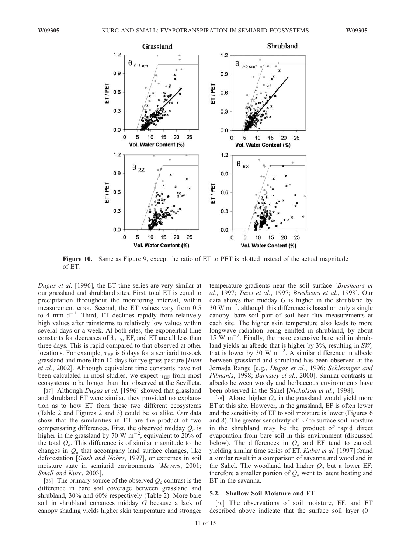

Figure 10. Same as Figure 9, except the ratio of ET to PET is plotted instead of the actual magnitude of ET.

Dugas et al. [1996], the ET time series are very similar at our grassland and shrubland sites. First, total ET is equal to precipitation throughout the monitoring interval, within measurement error. Second, the ET values vary from 0.5 to 4 mm  $d^{-1}$ . Third, ET declines rapidly from relatively high values after rainstorms to relatively low values within several days or a week. At both sites, the exponential time constants for decreases of  $\theta_{0-5}$ , EF, and ET are all less than three days. This is rapid compared to that observed at other locations. For example,  $\tau_{EF}$  is 6 days for a semiarid tussock grassland and more than 10 days for rye grass pasture [Hunt et al., 2002]. Although equivalent time constants have not been calculated in most studies, we expect  $\tau_{EF}$  from most ecosystems to be longer than that observed at the Sevilleta.

[37] Although *Dugas et al.* [1996] showed that grassland and shrubland ET were similar, they provided no explanation as to how ET from these two different ecosystems (Table 2 and Figures 2 and 3) could be so alike. Our data show that the similarities in ET are the product of two compensating differences. First, the observed midday  $Q_a$  is higher in the grassland by 70 W m<sup>-2</sup>, equivalent to 20% of the total  $Q_a$ . This difference is of similar magnitude to the changes in  $Q_a$  that accompany land surface changes, like deforestation [Gash and Nobre, 1997], or extremes in soil moisture state in semiarid environments [Meyers, 2001; Small and Kurc, 2003].

[38] The primary source of the observed  $Q_a$  contrast is the difference in bare soil coverage between grassland and shrubland, 30% and 60% respectively (Table 2). More bare soil in shrubland enhances midday G because a lack of canopy shading yields higher skin temperature and stronger

temperature gradients near the soil surface [Breshears et al., 1997; Tuzet et al., 1997; Breshears et al., 1998]. Our data shows that midday  $G$  is higher in the shrubland by  $30 \text{ W m}^{-2}$ , although this difference is based on only a single canopy– bare soil pair of soil heat flux measurements at each site. The higher skin temperature also leads to more longwave radiation being emitted in shrubland, by about 15 W  $\text{m}^{-2}$ . Finally, the more extensive bare soil in shrubland yields an albedo that is higher by 3%, resulting in  $SW_n$ that is lower by 30 W  $m^{-2}$ . A similar difference in albedo between grassland and shrubland has been observed at the Jornada Range [e.g., Dugas et al., 1996; Schlesinger and Pilmanis, 1998; Barnsley et al., 2000]. Similar contrasts in albedo between woody and herbaceous environments have been observed in the Sahel [Nicholson et al., 1998].

[39] Alone, higher  $Q_a$  in the grassland would yield more ET at this site. However, in the grassland, EF is often lower and the sensitivity of EF to soil moisture is lower (Figures 6 and 8). The greater sensitivity of EF to surface soil moisture in the shrubland may be the product of rapid direct evaporation from bare soil in this environment (discussed below). The differences in  $Q_a$  and EF tend to cancel, yielding similar time series of ET. Kabat et al. [1997] found a similar result in a comparison of savanna and woodland in the Sahel. The woodland had higher  $Q_a$  but a lower EF; therefore a smaller portion of  $Q_a$  went to latent heating and ET in the savanna.

#### 5.2. Shallow Soil Moisture and ET

[40] The observations of soil moisture, EF, and ET described above indicate that the surface soil layer  $(0 -$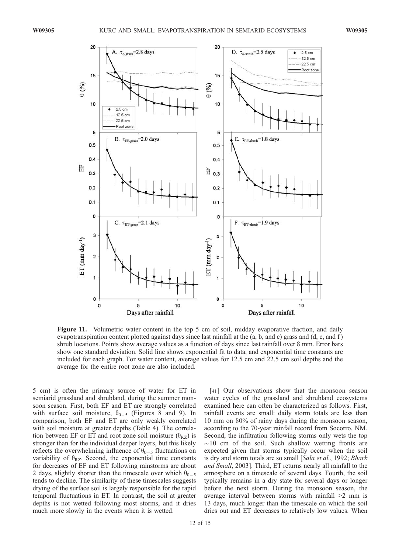

Figure 11. Volumetric water content in the top 5 cm of soil, midday evaporative fraction, and daily evapotranspiration content plotted against days since last rainfall at the (a, b, and c) grass and (d, e, and f) shrub locations. Points show average values as a function of days since last rainfall over 8 mm. Error bars show one standard deviation. Solid line shows exponential fit to data, and exponential time constants are included for each graph. For water content, average values for 12.5 cm and 22.5 cm soil depths and the average for the entire root zone are also included.

5 cm) is often the primary source of water for ET in semiarid grassland and shrubland, during the summer monsoon season. First, both EF and ET are strongly correlated with surface soil moisture,  $\theta_{0-5}$  (Figures 8 and 9). In comparison, both EF and ET are only weakly correlated with soil moisture at greater depths (Table 4). The correlation between EF or ET and root zone soil moisture  $(\theta_{RZ})$  is stronger than for the individual deeper layers, but this likely reflects the overwhelming influence of  $\theta_{0-5}$  fluctuations on variability of  $\theta_{RZ}$ . Second, the exponential time constants for decreases of EF and ET following rainstorms are about 2 days, slightly shorter than the timescale over which  $\theta_{0-5}$ tends to decline. The similarity of these timescales suggests drying of the surface soil is largely responsible for the rapid temporal fluctuations in ET. In contrast, the soil at greater depths is not wetted following most storms, and it dries much more slowly in the events when it is wetted.

[41] Our observations show that the monsoon season water cycles of the grassland and shrubland ecosystems examined here can often be characterized as follows. First, rainfall events are small: daily storm totals are less than 10 mm on 80% of rainy days during the monsoon season, according to the 70-year rainfall record from Socorro, NM. Second, the infiltration following storms only wets the top  $\sim$ 10 cm of the soil. Such shallow wetting fronts are expected given that storms typically occur when the soil is dry and storm totals are so small [Sala et al., 1992; Bhark and Small, 2003]. Third, ET returns nearly all rainfall to the atmosphere on a timescale of several days. Fourth, the soil typically remains in a dry state for several days or longer before the next storm. During the monsoon season, the average interval between storms with rainfall >2 mm is 13 days, much longer than the timescale on which the soil dries out and ET decreases to relatively low values. When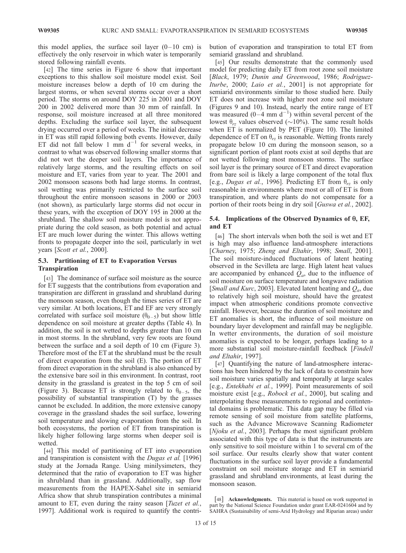this model applies, the surface soil layer  $(0-10 \text{ cm})$  is effectively the only reservoir in which water is temporarily stored following rainfall events.

[42] The time series in Figure 6 show that important exceptions to this shallow soil moisture model exist. Soil moisture increases below a depth of 10 cm during the largest storms, or when several storms occur over a short period. The storms on around DOY 225 in 2001 and DOY 200 in 2002 delivered more than 30 mm of rainfall. In response, soil moisture increased at all three monitored depths. Excluding the surface soil layer, the subsequent drying occurred over a period of weeks. The initial decrease in ET was still rapid following both events. However, daily ET did not fall below 1 mm  $d^{-1}$  for several weeks, in contrast to what was observed following smaller storms that did not wet the deeper soil layers. The importance of relatively large storms, and the resulting effects on soil moisture and ET, varies from year to year. The 2001 and 2002 monsoon seasons both had large storms. In contrast, soil wetting was primarily restricted to the surface soil throughout the entire monsoon seasons in 2000 or 2003 (not shown), as particularly large storms did not occur in these years, with the exception of DOY 195 in 2000 at the shrubland. The shallow soil moisture model is not appropriate during the cold season, as both potential and actual ET are much lower during the winter. This allows wetting fronts to propagate deeper into the soil, particularly in wet years [Scott et al., 2000].

# 5.3. Partitioning of ET to Evaporation Versus Transpiration

[43] The dominance of surface soil moisture as the source for ET suggests that the contributions from evaporation and transpiration are different in grassland and shrubland during the monsoon season, even though the times series of ET are very similar. At both locations, ET and EF are very strongly correlated with surface soil moisture  $(\theta_{0-5})$  but show little dependence on soil moisture at greater depths (Table 4). In addition, the soil is not wetted to depths greater than 10 cm in most storms. In the shrubland, very few roots are found between the surface and a soil depth of 10 cm (Figure 3). Therefore most of the ET at the shrubland must be the result of direct evaporation from the soil (E). The portion of ET from direct evaporation in the shrubland is also enhanced by the extensive bare soil in this environment. In contrast, root density in the grassland is greatest in the top 5 cm of soil (Figure 3). Because ET is strongly related to  $\theta_{0-5}$ , the possibility of substantial transpiration (T) by the grasses cannot be excluded. In addition, the more extensive canopy coverage in the grassland shades the soil surface, lowering soil temperature and slowing evaporation from the soil. In both ecosystems, the portion of ET from transpiration is likely higher following large storms when deeper soil is wetted.

[44] This model of partitioning of ET into evaporation and transpiration is consistent with the *Dugas et al.* [1996] study at the Jornada Range. Using minilysimeters, they determined that the ratio of evaporation to ET was higher in shrubland than in grassland. Additionally, sap flow measurements from the HAPEX-Sahel site in semiarid Africa show that shrub transpiration contributes a minimal amount to ET, even during the rainy season [Tuzet et al., 1997]. Additional work is required to quantify the contribution of evaporation and transpiration to total ET from semiarid grassland and shrubland.

[45] Our results demonstrate that the commonly used model for predicting daily ET from root zone soil moisture [Black, 1979; Dunin and Greenwood, 1986; Rodriguez-Iturbe, 2000; Laio et al., 2001] is not appropriate for semiarid environments similar to those studied here. Daily ET does not increase with higher root zone soil moisture (Figures 9 and 10). Instead, nearly the entire range of ET was measured  $(0-4$  mm d<sup>-1</sup>) within several percent of the lowest  $\theta_{rz}$  values observed ( $\sim$ 10%). The same result holds when ET is normalized by PET (Figure 10). The limited dependence of ET on  $\theta_{rz}$  is reasonable. Wetting fronts rarely propagate below 10 cm during the monsoon season, so a significant portion of plant roots exist at soil depths that are not wetted following most monsoon storms. The surface soil layer is the primary source of ET and direct evaporation from bare soil is likely a large component of the total flux [e.g., *Dugas et al.*, 1996]. Predicting ET from  $\theta_{rz}$  is only reasonable in environments where most or all of ET is from transpiration, and where plants do not compensate for a portion of their roots being in dry soil [Guswa et al., 2002].

#### 5.4. Implications of the Observed Dynamics of  $\theta$ , EF, and ET

[46] The short intervals when both the soil is wet and ET is high may also influence land-atmosphere interactions [Charney, 1975; Zheng and Eltahir, 1998; Small, 2001]. The soil moisture-induced fluctuations of latent heating observed in the Sevilleta are large. High latent heat values are accompanied by enhanced  $Q_a$ , due to the influence of soil moisture on surface temperature and longwave radiation [*Small and Kurc*, 2003]. Elevated latent heating and  $Q_a$ , due to relatively high soil moisture, should have the greatest impact when atmospheric conditions promote convective rainfall. However, because the duration of soil moisture and ET anomalies is short, the influence of soil moisture on boundary layer development and rainfall may be negligible. In wetter environments, the duration of soil moisture anomalies is expected to be longer, perhaps leading to a more substantial soil moisture-rainfall feedback [Findell and Eltahir, 1997].

[47] Quantifying the nature of land-atmosphere interactions has been hindered by the lack of data to constrain how soil moisture varies spatially and temporally at large scales [e.g., Entekhabi et al., 1999]. Point measurements of soil moisture exist [e.g., Robock et al., 2000], but scaling and interpolating these measurements to regional and contintental domains is problematic. This data gap may be filled via remote sensing of soil moisture from satellite platforms, such as the Advance Microwave Scanning Radiometer [Njoku et al., 2003]. Perhaps the most significant problem associated with this type of data is that the instruments are only sensitive to soil moisture within 1 to several cm of the soil surface. Our results clearly show that water content fluctuations in the surface soil layer provide a fundamental constraint on soil moisture storage and ET in semiarid grassland and shrubland environments, at least during the monsoon season.

[48] **Acknowledgments.** This material is based on work supported in part by the National Science Foundation under grant EAR-0241604 and by SAHRA (Sustainability of semi-Arid Hydrology and Riparian areas) under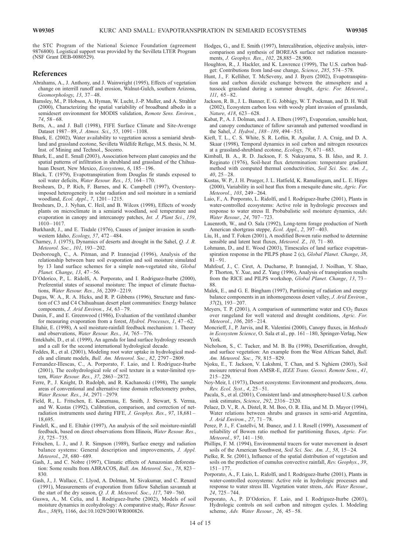the STC Program of the National Science Foundation (agreement 9876800). Logistical support was provided by the Sevilleta LTER Program (NSF Grant DEB-0080529).

#### References

- Abrahams, A., J. Anthony, and J. Wainwright (1995), Effects of vegetation change on interrill runoff and erosion, Walnut-Gulch, southern Arizona, Geomorphology, 13, 37 – 48.
- Barnsley, M., P. Hobson, A. Hyman, W. Lucht, J.-P. Muller, and A. Strahler (2000), Characterizing the spatial variability of broadband albedo in a semidesert environment for MODIS validation, Remote Sens. Environ.,  $74, 58 - 68.$
- Betts, A., and J. Ball (1998), FIFE Surface Climate and Site-Average Dataset 1987-89, J. Atmos. Sci., 55, 1091-1108.
- Bhark, E. (2002), Water availability to vegetation across a semiarid shrubland and grassland ecotone, Sevilleta Wildlife Refuge, M.S. thesis, N. M. Inst. of Mining and Technol., Socorro.
- Bhark, E., and E. Small (2003), Association between plant canopies and the spatial patterns of infiltration in shrubland and grassland of the Chihuahuan Desert, New Mexico, *Ecosystems*, 6, 185-196.
- Black, T. (1979), Evapotranspiration from Douglas fir stands exposed to soil water deficits, Water Resour. Res., 15, 164-170.
- Breshears, D., P. Rich, F. Barnes, and K. Campbell (1997), Overstoryimposed heterogeneity in solar radiation and soil moisture in a semiarid woodland, Ecol. Appl., 7, 1201 – 1215.
- Breshears, D., J. Nyhan, C. Heil, and B. Wilcox (1998), Effects of woody plants on microclimate in a semiarid woodland, soil temperature and evaporation in canopy and intercanopy patches, Int. J. Plant Sci., 159,  $1010 - 1017.$
- Burkhardt, J., and E. Tisdale (1976), Causes of juniper invasion in southwestern Idaho, Ecology, 57, 472 – 484.
- Charney, J. (1975), Dynamics of deserts and drought in the Sahel, Q. J. R. Meteorol. Soc., 101, 193 – 202.
- Desborough, C., A. Pitman, and P. Irannejad (1996), Analysis of the relationship between bare soil evaporation and soil moisture simulated by 13 land surface schemes for a simple non-vegetated site, Global Planet. Change, 13, 47 – 56.
- D'Odorico, P., L. Ridolfi, A. Porporato, and I. Rodriguez-Iturbe (2000), Preferential states of seasonal moisture: The impact of climate fluctuations, Water Resour. Res., 36, 2209 – 2219.
- Dugas, W. A., R. A. Hicks, and R. P. Gibbens (1996), Structure and function of C3 and C4 Chihuahuan desert plant communities: Energy balance components, J. Arid Environ., 34, 63-79.
- Dunin, F., and E. Greenwood (1986), Evaluation of the ventilated chamber for measuring evaporation from a forest, *Hydrol. Processes*, 1, 47–62.
- Eltahir, E. (1998), A soil moisture-rainfall feedback mechanism: 1. Theory and observations, Water Resour. Res., 34, 765-776.
- Entekhabi, D., et al. (1999), An agenda for land surface hydrology research and a call for the second international hydrological decade.
- Feddes, R., et al. (2001), Modeling root water uptake in hydrological models and climate models, Bull. Am. Meteorol. Soc., 82, 2797 – 2809.
- Fernandez-Illescas, C., A. Porporato, F. Laio, and I. Rodriguez-Iturbe (2001), The ecohydrological role of soil texture in a water-limited system, Water Resour. Res., 37, 2863 – 2872.
- Ferre, P., J. Knight, D. Rudolph, and R. Kachanoski (1998), The sample areas of conventional and alternative time domain reflectometry probes, Water Resour. Res., 34, 2971-2979.
- Field, R., L. Fritschen, E. Kanemasu, E. Smith, J. Stewart, S. Verma, and W. Kustas (1992), Calibration, comparison, and correction of netradiation instruments used during FIFE, J. Geophys. Res., 97, 18,681 – 18,695.
- Findell, K., and E. Eltahir (1997), An analysis of the soil moisture-rainfall feedback, based on direct observations from Illinois, Water Resour. Res., 33, 725 – 735.
- Fritschen, L. J., and J. R. Simpson (1989), Surface energy and radiation balance systems: General description and improvements, J. Appl. Meteorol., 28, 680–689.
- Gash, J., and C. Nobre (1997), Climatic effects of Amazonian deforestation: Some results from ABRACOS, Bull. Am. Meteorol. Soc., 78, 823 – 830.
- Gash, J., J. Wallace, C. Llyod, A. Dolman, M. Sivakumar, and C. Renard (1991), Measurements of evaporation from fallow Sahelian savannah at the start of the dry season,  $Q$ . J. R. Meteorol. Soc., 117, 749-760.
- Guswa, A., M. Celia, and I. Rodriguez-Iturbe (2002), Models of soil moisture dynamics in ecohydrology: A comparative study, Water Resour. Res., 38(9), 1166, doi:10.1029/2001WR000826.
- Hodges, G., and E. Smith (1997), Intercalibration, objective analysis, intercomparison and synthesis of BOREAS surface net radiation measurements, J. Geophys. Res., 102, 28,885-28,900.
- Houghton, R., J. Hackler, and K. Lawrence (1999), The U.S. carbon budget: Contributions from land-use change, Science, 285, 574 – 578.
- Hunt, J., F. Kelliher, T. McSeveny, and J. Byers (2002), Evapotranspiration and carbon dioxide exchange between the atmosphere and a tussock grassland during a summer drought, Agric. For. Meteorol., 111, 65 – 82.
- Jackson, R. B., J. L. Banner, E. G. Jobbágy, W. T. Pockman, and D. H. Wall (2002), Ecosystem carbon loss with woody plant invasion of grasslands, Nature, 418, 623-628.
- Kabat, P., A. J. Dolman, and J. A. Elbers (1997), Evaporation, sensible heat, and canopy conductance of fallow savannah and patterned woodland in the Sahel, *J. Hydrol.*, 188-189, 494-515.
- Kieft, T. L., C. S. White, S. R. Loftin, R. Aguilar, J. A. Craig, and D. A. Skaar (1998), Temporal dynamics in soil carbon and nitrogen resources at a grassland-shrubland ecotone, Ecology, 79, 671 – 683.
- Kimball, B. A., R. D. Jackson, F. S. Nakayama, S. B. Idso, and R. J. Reginato (1976), Soil-heat flux determination: temperature gradient method with computed thermal conductivities, Soil Sci. Soc. Am. J.,  $40.25 - 28.$
- Kustas, W. P., J. H. Prueger, J. L. Hatfield, K. Ramalingam, and L. E. Hipps (2000), Variability in soil heat flux from a mesquite dune site, Agric. For. Meteorol., 103, 249-264.
- Laio, F., A. Porporato, L. Ridolfi, and I. Rodriguez-Iturbe (2001), Plants in water-controlled ecosystems: Active role in hydrologic processes and response to water stress II. Probabalistic soil moisture dynamics, Adv. Water Resour., 24, 707 – 723.
- Lauenroth, W., and O. Sala (1992), Long-term forage production of North American shortgrass steppe, Ecol. Appl., 2, 397-403.
- Liu, H., and T. Foken (2001), A modified Bowen ratio method to determine sensible and latent heat fluxes, Meteorol. Z., 10, 71–80.
- Lohmann, D., and E. Wood (2003), Timescales of land surface evapotranspiration response in the PILPS phase 2 (c), Global Planet. Change, 38,  $81 - 91.$
- Mahfouf, J., C. Ciret, A. Ducharne, P. Irannejad, J. Noilhan, Y. Shao, P. Thorton, Y. Xue, and Z. Yang (1996), Analysis of transpiration results from the RICE and PILPS workshop, Global Planet. Change, 13, 73 – 88.
- Malek, E., and G. E. Bingham (1997), Partitioning of radiation and energy balance components in an inhomogeneous desert valley, J. Arid Environ.,  $37(2)$ ,  $193 - 207$ .
- Meyers, T. P. (2001), A comparison of summertime water and  $CO<sub>2</sub>$  fluxes over rangeland for well watered and drought conditions, Agric. For. Meteorol., 106, 205 – 214.
- Moncrieff, J., P. Jarvis, and R. Valentini (2000), Canopy fluxes, in Methods in Ecosystem Science, O. Sala et al., pp. 161–180, Springer-Verlag, New York.
- Nicholson, S., C. Tucker, and M. B. Ba (1998), Desertification, drought, and surface vegetation: An example from the West African Sahel, Bull. Am. Meteorol. Soc., 79, 815 – 829.
- Njoku, E., T. Jackson, V. Lakshmi, T. Chan, and S. Nghiem (2003), Soil moisure retrieval from AMSR-E, IEEE Trans. Geosci. Remote Sens., 41,  $215 - 229$
- Noy-Meir, I. (1973), Desert ecosystems: Environment and producers, Annu. Rev. Ecol. Syst., 4, 25 – 51.
- Pacala, S., et al. (2001), Consistent land- and atmosphere-based U.S. carbon sink estimates, Science, 292, 2316-2320.
- Pelaez, D. V., R. A. Distel, R. M. Boo, O. R. Elia, and M. D. Mayor (1994), Water relations between shrubs and grasses in semi-arid Argentina, J. Arid Environ., 27, 71 – 78.
- Perez, P. J., F. Castellvi, M. Ibanez, and J. I. Rosell (1999), Assessment of reliability of Bowen ratio method for partitioning fluxes, Agric. For. Meteorol., 97, 141 – 150.
- Phillips, F. M. (1994), Environmental tracers for water movement in desert soils of the American Southwest, Soil Sci. Soc. Am. J., 58, 15–24.
- Pielke, R. Sr. (2001), Influence of the spatial distribution of vegetation and soils on the prediction of cumulus convective rainfall, Rev. Geophys., 39,  $151 - 177.$
- Porporato, A., F. Laio, L. Ridolfi, and I. Rodriguez-Iturbe (2001), Plants in water-controlled ecosystems: Active role in hydrologic processes and response to water stress III. Vegetation water stress, Adv. Water Resour., 24, 725 – 744.
- Porporato, A., P. D'Odorico, F. Laio, and I. Rodriguez-Iturbe (2003), Hydrologic controls on soil carbon and nitrogen cycles. I. Modeling scheme, Adv. Water Resour., 26, 45-58.